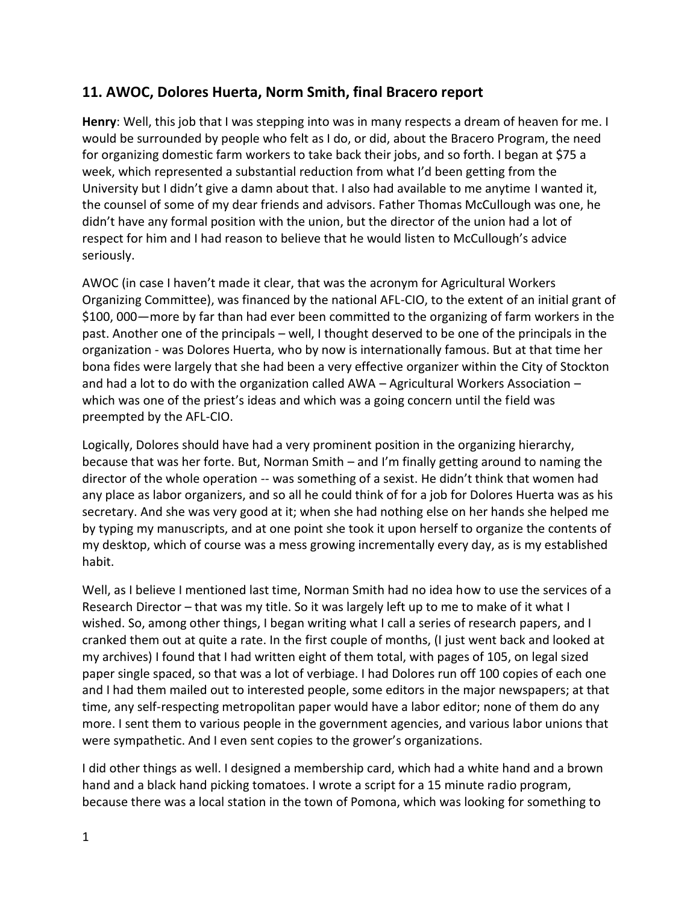## **11. AWOC, Dolores Huerta, Norm Smith, final Bracero report**

**Henry**: Well, this job that I was stepping into was in many respects a dream of heaven for me. I would be surrounded by people who felt as I do, or did, about the Bracero Program, the need for organizing domestic farm workers to take back their jobs, and so forth. I began at \$75 a week, which represented a substantial reduction from what I'd been getting from the University but I didn't give a damn about that. I also had available to me anytime I wanted it, the counsel of some of my dear friends and advisors. Father Thomas McCullough was one, he didn't have any formal position with the union, but the director of the union had a lot of respect for him and I had reason to believe that he would listen to McCullough's advice seriously.

AWOC (in case I haven't made it clear, that was the acronym for Agricultural Workers Organizing Committee), was financed by the national AFL-CIO, to the extent of an initial grant of \$100, 000—more by far than had ever been committed to the organizing of farm workers in the past. Another one of the principals – well, I thought deserved to be one of the principals in the organization - was Dolores Huerta, who by now is internationally famous. But at that time her bona fides were largely that she had been a very effective organizer within the City of Stockton and had a lot to do with the organization called AWA – Agricultural Workers Association – which was one of the priest's ideas and which was a going concern until the field was preempted by the AFL-CIO.

Logically, Dolores should have had a very prominent position in the organizing hierarchy, because that was her forte. But, Norman Smith – and I'm finally getting around to naming the director of the whole operation -- was something of a sexist. He didn't think that women had any place as labor organizers, and so all he could think of for a job for Dolores Huerta was as his secretary. And she was very good at it; when she had nothing else on her hands she helped me by typing my manuscripts, and at one point she took it upon herself to organize the contents of my desktop, which of course was a mess growing incrementally every day, as is my established habit.

Well, as I believe I mentioned last time, Norman Smith had no idea how to use the services of a Research Director – that was my title. So it was largely left up to me to make of it what I wished. So, among other things, I began writing what I call a series of research papers, and I cranked them out at quite a rate. In the first couple of months, (I just went back and looked at my archives) I found that I had written eight of them total, with pages of 105, on legal sized paper single spaced, so that was a lot of verbiage. I had Dolores run off 100 copies of each one and I had them mailed out to interested people, some editors in the major newspapers; at that time, any self-respecting metropolitan paper would have a labor editor; none of them do any more. I sent them to various people in the government agencies, and various labor unions that were sympathetic. And I even sent copies to the grower's organizations.

I did other things as well. I designed a membership card, which had a white hand and a brown hand and a black hand picking tomatoes. I wrote a script for a 15 minute radio program, because there was a local station in the town of Pomona, which was looking for something to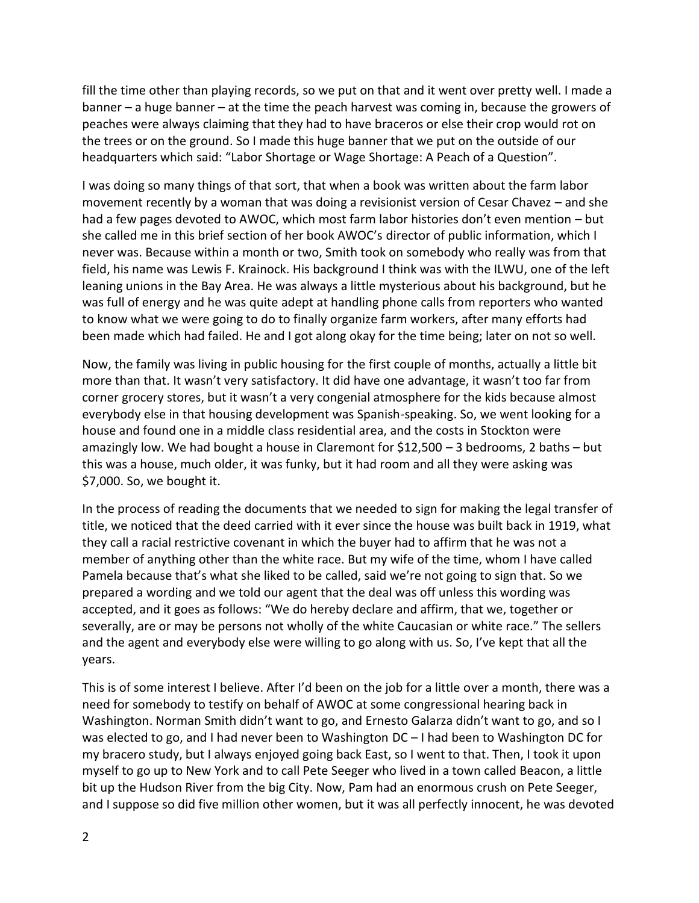fill the time other than playing records, so we put on that and it went over pretty well. I made a banner – a huge banner – at the time the peach harvest was coming in, because the growers of peaches were always claiming that they had to have braceros or else their crop would rot on the trees or on the ground. So I made this huge banner that we put on the outside of our headquarters which said: "Labor Shortage or Wage Shortage: A Peach of a Question".

I was doing so many things of that sort, that when a book was written about the farm labor movement recently by a woman that was doing a revisionist version of Cesar Chavez – and she had a few pages devoted to AWOC, which most farm labor histories don't even mention – but she called me in this brief section of her book AWOC's director of public information, which I never was. Because within a month or two, Smith took on somebody who really was from that field, his name was Lewis F. Krainock. His background I think was with the ILWU, one of the left leaning unions in the Bay Area. He was always a little mysterious about his background, but he was full of energy and he was quite adept at handling phone calls from reporters who wanted to know what we were going to do to finally organize farm workers, after many efforts had been made which had failed. He and I got along okay for the time being; later on not so well.

Now, the family was living in public housing for the first couple of months, actually a little bit more than that. It wasn't very satisfactory. It did have one advantage, it wasn't too far from corner grocery stores, but it wasn't a very congenial atmosphere for the kids because almost everybody else in that housing development was Spanish-speaking. So, we went looking for a house and found one in a middle class residential area, and the costs in Stockton were amazingly low. We had bought a house in Claremont for \$12,500 – 3 bedrooms, 2 baths – but this was a house, much older, it was funky, but it had room and all they were asking was \$7,000. So, we bought it.

In the process of reading the documents that we needed to sign for making the legal transfer of title, we noticed that the deed carried with it ever since the house was built back in 1919, what they call a racial restrictive covenant in which the buyer had to affirm that he was not a member of anything other than the white race. But my wife of the time, whom I have called Pamela because that's what she liked to be called, said we're not going to sign that. So we prepared a wording and we told our agent that the deal was off unless this wording was accepted, and it goes as follows: "We do hereby declare and affirm, that we, together or severally, are or may be persons not wholly of the white Caucasian or white race." The sellers and the agent and everybody else were willing to go along with us. So, I've kept that all the years.

This is of some interest I believe. After I'd been on the job for a little over a month, there was a need for somebody to testify on behalf of AWOC at some congressional hearing back in Washington. Norman Smith didn't want to go, and Ernesto Galarza didn't want to go, and so I was elected to go, and I had never been to Washington DC – I had been to Washington DC for my bracero study, but I always enjoyed going back East, so I went to that. Then, I took it upon myself to go up to New York and to call Pete Seeger who lived in a town called Beacon, a little bit up the Hudson River from the big City. Now, Pam had an enormous crush on Pete Seeger, and I suppose so did five million other women, but it was all perfectly innocent, he was devoted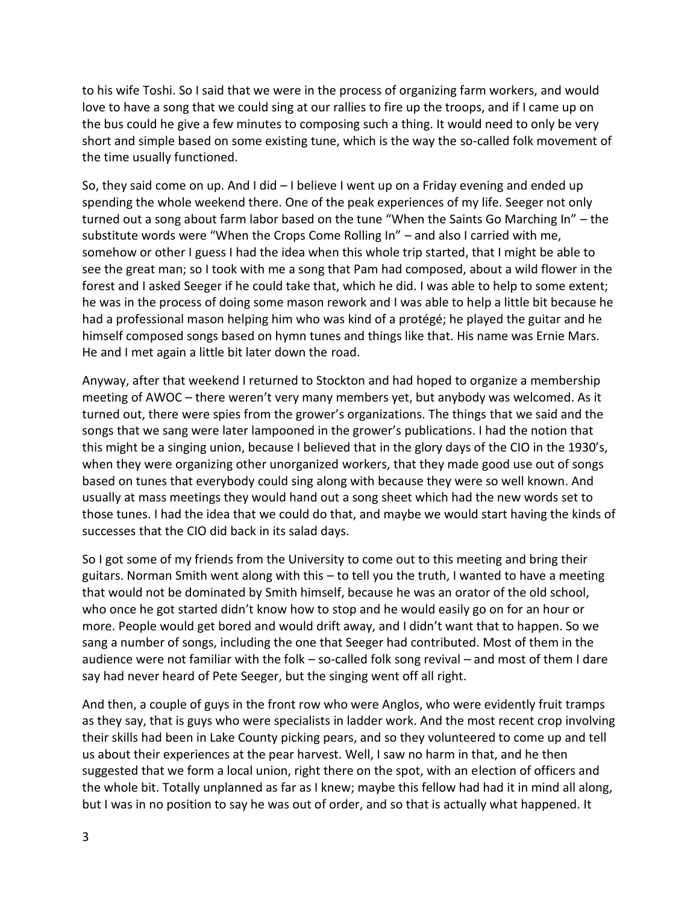to his wife Toshi. So I said that we were in the process of organizing farm workers, and would love to have a song that we could sing at our rallies to fire up the troops, and if I came up on the bus could he give a few minutes to composing such a thing. It would need to only be very short and simple based on some existing tune, which is the way the so-called folk movement of the time usually functioned.

So, they said come on up. And I did – I believe I went up on a Friday evening and ended up spending the whole weekend there. One of the peak experiences of my life. Seeger not only turned out a song about farm labor based on the tune "When the Saints Go Marching In" – the substitute words were "When the Crops Come Rolling In" – and also I carried with me, somehow or other I guess I had the idea when this whole trip started, that I might be able to see the great man; so I took with me a song that Pam had composed, about a wild flower in the forest and I asked Seeger if he could take that, which he did. I was able to help to some extent; he was in the process of doing some mason rework and I was able to help a little bit because he had a professional mason helping him who was kind of a protégé; he played the guitar and he himself composed songs based on hymn tunes and things like that. His name was Ernie Mars. He and I met again a little bit later down the road.

Anyway, after that weekend I returned to Stockton and had hoped to organize a membership meeting of AWOC – there weren't very many members yet, but anybody was welcomed. As it turned out, there were spies from the grower's organizations. The things that we said and the songs that we sang were later lampooned in the grower's publications. I had the notion that this might be a singing union, because I believed that in the glory days of the CIO in the 1930's, when they were organizing other unorganized workers, that they made good use out of songs based on tunes that everybody could sing along with because they were so well known. And usually at mass meetings they would hand out a song sheet which had the new words set to those tunes. I had the idea that we could do that, and maybe we would start having the kinds of successes that the CIO did back in its salad days.

So I got some of my friends from the University to come out to this meeting and bring their guitars. Norman Smith went along with this – to tell you the truth, I wanted to have a meeting that would not be dominated by Smith himself, because he was an orator of the old school, who once he got started didn't know how to stop and he would easily go on for an hour or more. People would get bored and would drift away, and I didn't want that to happen. So we sang a number of songs, including the one that Seeger had contributed. Most of them in the audience were not familiar with the folk – so-called folk song revival – and most of them I dare say had never heard of Pete Seeger, but the singing went off all right.

And then, a couple of guys in the front row who were Anglos, who were evidently fruit tramps as they say, that is guys who were specialists in ladder work. And the most recent crop involving their skills had been in Lake County picking pears, and so they volunteered to come up and tell us about their experiences at the pear harvest. Well, I saw no harm in that, and he then suggested that we form a local union, right there on the spot, with an election of officers and the whole bit. Totally unplanned as far as I knew; maybe this fellow had had it in mind all along, but I was in no position to say he was out of order, and so that is actually what happened. It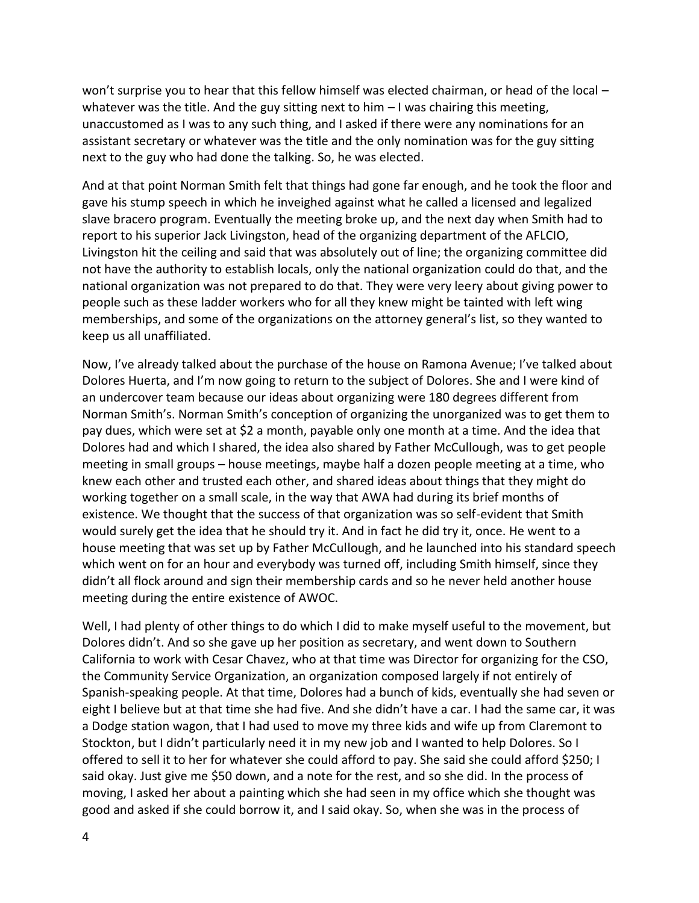won't surprise you to hear that this fellow himself was elected chairman, or head of the local – whatever was the title. And the guy sitting next to him  $-1$  was chairing this meeting, unaccustomed as I was to any such thing, and I asked if there were any nominations for an assistant secretary or whatever was the title and the only nomination was for the guy sitting next to the guy who had done the talking. So, he was elected.

And at that point Norman Smith felt that things had gone far enough, and he took the floor and gave his stump speech in which he inveighed against what he called a licensed and legalized slave bracero program. Eventually the meeting broke up, and the next day when Smith had to report to his superior Jack Livingston, head of the organizing department of the AFLCIO, Livingston hit the ceiling and said that was absolutely out of line; the organizing committee did not have the authority to establish locals, only the national organization could do that, and the national organization was not prepared to do that. They were very leery about giving power to people such as these ladder workers who for all they knew might be tainted with left wing memberships, and some of the organizations on the attorney general's list, so they wanted to keep us all unaffiliated.

Now, I've already talked about the purchase of the house on Ramona Avenue; I've talked about Dolores Huerta, and I'm now going to return to the subject of Dolores. She and I were kind of an undercover team because our ideas about organizing were 180 degrees different from Norman Smith's. Norman Smith's conception of organizing the unorganized was to get them to pay dues, which were set at \$2 a month, payable only one month at a time. And the idea that Dolores had and which I shared, the idea also shared by Father McCullough, was to get people meeting in small groups – house meetings, maybe half a dozen people meeting at a time, who knew each other and trusted each other, and shared ideas about things that they might do working together on a small scale, in the way that AWA had during its brief months of existence. We thought that the success of that organization was so self-evident that Smith would surely get the idea that he should try it. And in fact he did try it, once. He went to a house meeting that was set up by Father McCullough, and he launched into his standard speech which went on for an hour and everybody was turned off, including Smith himself, since they didn't all flock around and sign their membership cards and so he never held another house meeting during the entire existence of AWOC.

Well, I had plenty of other things to do which I did to make myself useful to the movement, but Dolores didn't. And so she gave up her position as secretary, and went down to Southern California to work with Cesar Chavez, who at that time was Director for organizing for the CSO, the Community Service Organization, an organization composed largely if not entirely of Spanish-speaking people. At that time, Dolores had a bunch of kids, eventually she had seven or eight I believe but at that time she had five. And she didn't have a car. I had the same car, it was a Dodge station wagon, that I had used to move my three kids and wife up from Claremont to Stockton, but I didn't particularly need it in my new job and I wanted to help Dolores. So I offered to sell it to her for whatever she could afford to pay. She said she could afford \$250; I said okay. Just give me \$50 down, and a note for the rest, and so she did. In the process of moving, I asked her about a painting which she had seen in my office which she thought was good and asked if she could borrow it, and I said okay. So, when she was in the process of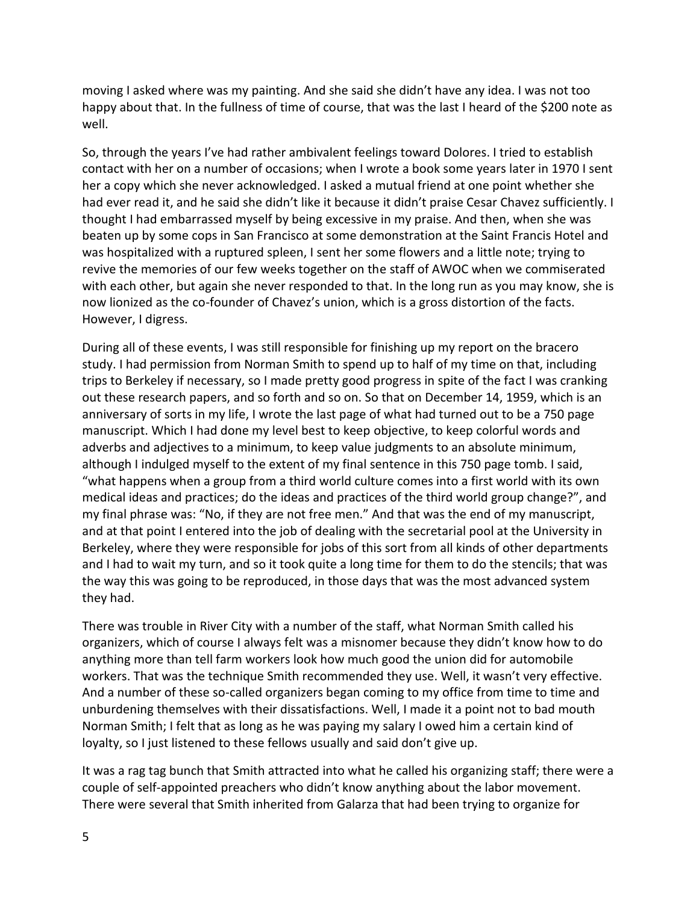moving I asked where was my painting. And she said she didn't have any idea. I was not too happy about that. In the fullness of time of course, that was the last I heard of the \$200 note as well.

So, through the years I've had rather ambivalent feelings toward Dolores. I tried to establish contact with her on a number of occasions; when I wrote a book some years later in 1970 I sent her a copy which she never acknowledged. I asked a mutual friend at one point whether she had ever read it, and he said she didn't like it because it didn't praise Cesar Chavez sufficiently. I thought I had embarrassed myself by being excessive in my praise. And then, when she was beaten up by some cops in San Francisco at some demonstration at the Saint Francis Hotel and was hospitalized with a ruptured spleen, I sent her some flowers and a little note; trying to revive the memories of our few weeks together on the staff of AWOC when we commiserated with each other, but again she never responded to that. In the long run as you may know, she is now lionized as the co-founder of Chavez's union, which is a gross distortion of the facts. However, I digress.

During all of these events, I was still responsible for finishing up my report on the bracero study. I had permission from Norman Smith to spend up to half of my time on that, including trips to Berkeley if necessary, so I made pretty good progress in spite of the fact I was cranking out these research papers, and so forth and so on. So that on December 14, 1959, which is an anniversary of sorts in my life, I wrote the last page of what had turned out to be a 750 page manuscript. Which I had done my level best to keep objective, to keep colorful words and adverbs and adjectives to a minimum, to keep value judgments to an absolute minimum, although I indulged myself to the extent of my final sentence in this 750 page tomb. I said, "what happens when a group from a third world culture comes into a first world with its own medical ideas and practices; do the ideas and practices of the third world group change?", and my final phrase was: "No, if they are not free men." And that was the end of my manuscript, and at that point I entered into the job of dealing with the secretarial pool at the University in Berkeley, where they were responsible for jobs of this sort from all kinds of other departments and I had to wait my turn, and so it took quite a long time for them to do the stencils; that was the way this was going to be reproduced, in those days that was the most advanced system they had.

There was trouble in River City with a number of the staff, what Norman Smith called his organizers, which of course I always felt was a misnomer because they didn't know how to do anything more than tell farm workers look how much good the union did for automobile workers. That was the technique Smith recommended they use. Well, it wasn't very effective. And a number of these so-called organizers began coming to my office from time to time and unburdening themselves with their dissatisfactions. Well, I made it a point not to bad mouth Norman Smith; I felt that as long as he was paying my salary I owed him a certain kind of loyalty, so I just listened to these fellows usually and said don't give up.

It was a rag tag bunch that Smith attracted into what he called his organizing staff; there were a couple of self-appointed preachers who didn't know anything about the labor movement. There were several that Smith inherited from Galarza that had been trying to organize for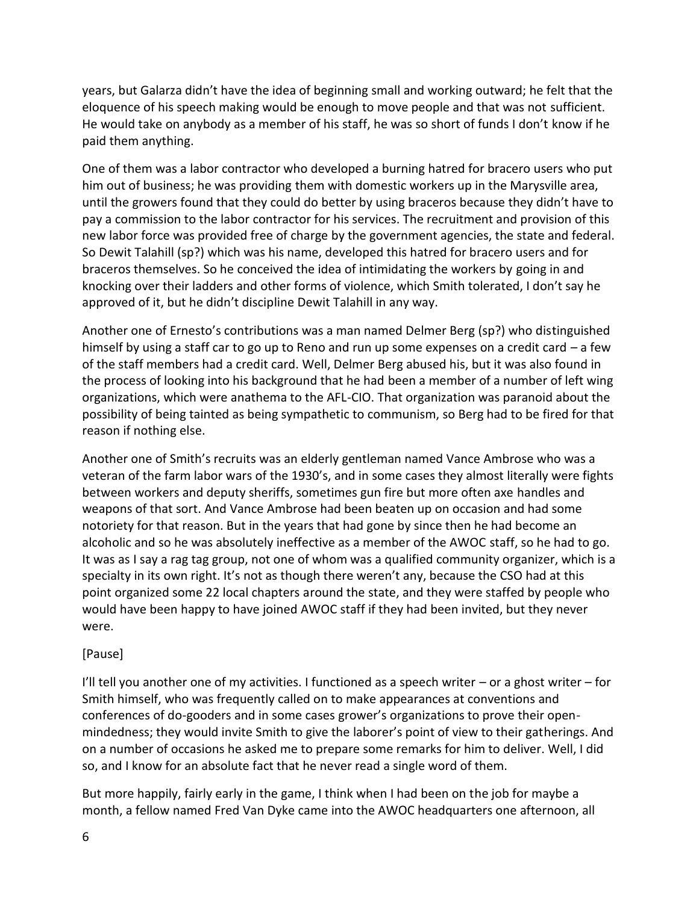years, but Galarza didn't have the idea of beginning small and working outward; he felt that the eloquence of his speech making would be enough to move people and that was not sufficient. He would take on anybody as a member of his staff, he was so short of funds I don't know if he paid them anything.

One of them was a labor contractor who developed a burning hatred for bracero users who put him out of business; he was providing them with domestic workers up in the Marysville area, until the growers found that they could do better by using braceros because they didn't have to pay a commission to the labor contractor for his services. The recruitment and provision of this new labor force was provided free of charge by the government agencies, the state and federal. So Dewit Talahill (sp?) which was his name, developed this hatred for bracero users and for braceros themselves. So he conceived the idea of intimidating the workers by going in and knocking over their ladders and other forms of violence, which Smith tolerated, I don't say he approved of it, but he didn't discipline Dewit Talahill in any way.

Another one of Ernesto's contributions was a man named Delmer Berg (sp?) who distinguished himself by using a staff car to go up to Reno and run up some expenses on a credit card  $-$  a few of the staff members had a credit card. Well, Delmer Berg abused his, but it was also found in the process of looking into his background that he had been a member of a number of left wing organizations, which were anathema to the AFL-CIO. That organization was paranoid about the possibility of being tainted as being sympathetic to communism, so Berg had to be fired for that reason if nothing else.

Another one of Smith's recruits was an elderly gentleman named Vance Ambrose who was a veteran of the farm labor wars of the 1930's, and in some cases they almost literally were fights between workers and deputy sheriffs, sometimes gun fire but more often axe handles and weapons of that sort. And Vance Ambrose had been beaten up on occasion and had some notoriety for that reason. But in the years that had gone by since then he had become an alcoholic and so he was absolutely ineffective as a member of the AWOC staff, so he had to go. It was as I say a rag tag group, not one of whom was a qualified community organizer, which is a specialty in its own right. It's not as though there weren't any, because the CSO had at this point organized some 22 local chapters around the state, and they were staffed by people who would have been happy to have joined AWOC staff if they had been invited, but they never were.

## [Pause]

I'll tell you another one of my activities. I functioned as a speech writer  $-$  or a ghost writer  $-$  for Smith himself, who was frequently called on to make appearances at conventions and conferences of do-gooders and in some cases grower's organizations to prove their open mindedness; they would invite Smith to give the laborer's point of view to their gatherings. And on a number of occasions he asked me to prepare some remarks for him to deliver. Well, I did so, and I know for an absolute fact that he never read a single word of them.

But more happily, fairly early in the game, I think when I had been on the job for maybe a month, a fellow named Fred Van Dyke came into the AWOC headquarters one afternoon, all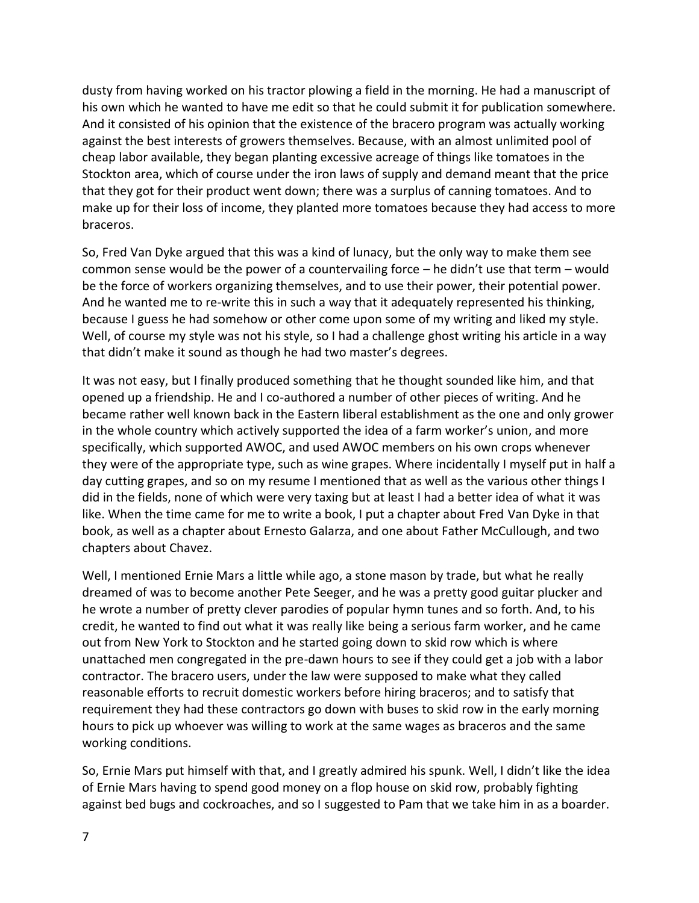dusty from having worked on his tractor plowing a field in the morning. He had a manuscript of his own which he wanted to have me edit so that he could submit it for publication somewhere. And it consisted of his opinion that the existence of the bracero program was actually working against the best interests of growers themselves. Because, with an almost unlimited pool of cheap labor available, they began planting excessive acreage of things like tomatoes in the Stockton area, which of course under the iron laws of supply and demand meant that the price that they got for their product went down; there was a surplus of canning tomatoes. And to make up for their loss of income, they planted more tomatoes because they had access to more braceros.

So, Fred Van Dyke argued that this was a kind of lunacy, but the only way to make them see common sense would be the power of a countervailing force – he didn't use that term – would be the force of workers organizing themselves, and to use their power, their potential power. And he wanted me to re-write this in such a way that it adequately represented his thinking, because I guess he had somehow or other come upon some of my writing and liked my style. Well, of course my style was not his style, so I had a challenge ghost writing his article in a way that didn't make it sound as though he had two master's degrees.

It was not easy, but I finally produced something that he thought sounded like him, and that opened up a friendship. He and I co-authored a number of other pieces of writing. And he became rather well known back in the Eastern liberal establishment as the one and only grower in the whole country which actively supported the idea of a farm worker's union, and more specifically, which supported AWOC, and used AWOC members on his own crops whenever they were of the appropriate type, such as wine grapes. Where incidentally I myself put in half a day cutting grapes, and so on my resume I mentioned that as well as the various other things I did in the fields, none of which were very taxing but at least I had a better idea of what it was like. When the time came for me to write a book, I put a chapter about Fred Van Dyke in that book, as well as a chapter about Ernesto Galarza, and one about Father McCullough, and two chapters about Chavez.

Well, I mentioned Ernie Mars a little while ago, a stone mason by trade, but what he really dreamed of was to become another Pete Seeger, and he was a pretty good guitar plucker and he wrote a number of pretty clever parodies of popular hymn tunes and so forth. And, to his credit, he wanted to find out what it was really like being a serious farm worker, and he came out from New York to Stockton and he started going down to skid row which is where unattached men congregated in the pre-dawn hours to see if they could get a job with a labor contractor. The bracero users, under the law were supposed to make what they called reasonable efforts to recruit domestic workers before hiring braceros; and to satisfy that requirement they had these contractors go down with buses to skid row in the early morning hours to pick up whoever was willing to work at the same wages as braceros and the same working conditions.

So, Ernie Mars put himself with that, and I greatly admired his spunk. Well, I didn't like the idea of Ernie Mars having to spend good money on a flop house on skid row, probably fighting against bed bugs and cockroaches, and so I suggested to Pam that we take him in as a boarder.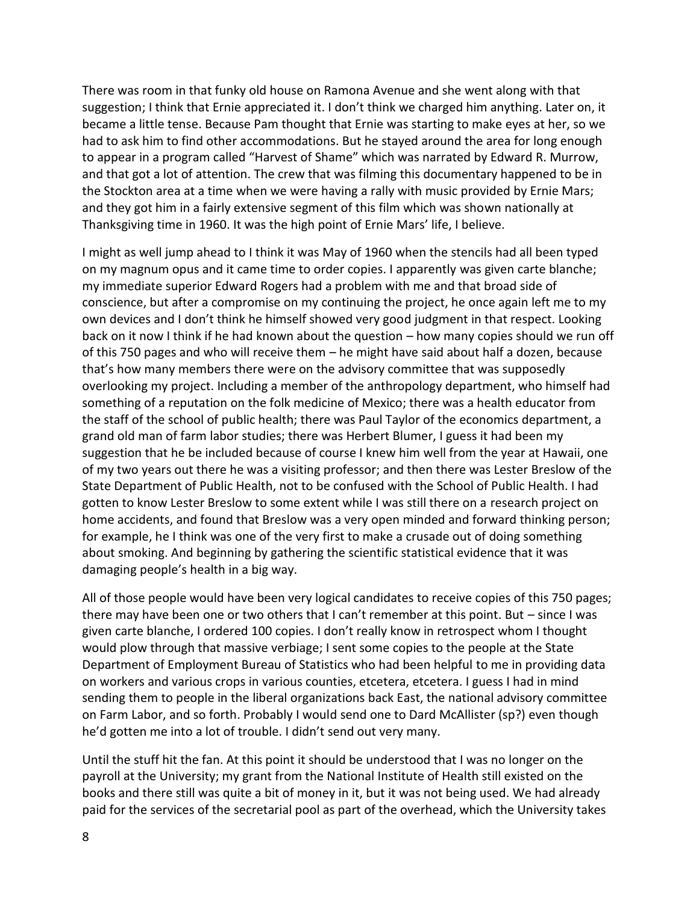There was room in that funky old house on Ramona Avenue and she went along with that suggestion; I think that Ernie appreciated it. I don't think we charged him anything. Later on, it became a little tense. Because Pam thought that Ernie was starting to make eyes at her, so we had to ask him to find other accommodations. But he stayed around the area for long enough to appear in a program called "Harvest of Shame" which was narrated by Edward R. Murrow, and that got a lot of attention. The crew that was filming this documentary happened to be in the Stockton area at a time when we were having a rally with music provided by Ernie Mars; and they got him in a fairly extensive segment of this film which was shown nationally at Thanksgiving time in 1960. It was the high point of Ernie Mars' life, I believe.

I might as well jump ahead to I think it was May of 1960 when the stencils had all been typed on my magnum opus and it came time to order copies. I apparently was given carte blanche; my immediate superior Edward Rogers had a problem with me and that broad side of conscience, but after a compromise on my continuing the project, he once again left me to my own devices and I don't think he himself showed very good judgment in that respect. Looking back on it now I think if he had known about the question – how many copies should we run off of this 750 pages and who will receive them – he might have said about half a dozen, because that's how many members there were on the advisory committee that was supposedly overlooking my project. Including a member of the anthropology department, who himself had something of a reputation on the folk medicine of Mexico; there was a health educator from the staff of the school of public health; there was Paul Taylor of the economics department, a grand old man of farm labor studies; there was Herbert Blumer, I guess it had been my suggestion that he be included because of course I knew him well from the year at Hawaii, one of my two years out there he was a visiting professor; and then there was Lester Breslow of the State Department of Public Health, not to be confused with the School of Public Health. I had gotten to know Lester Breslow to some extent while I was still there on a research project on home accidents, and found that Breslow was a very open minded and forward thinking person; for example, he I think was one of the very first to make a crusade out of doing something about smoking. And beginning by gathering the scientific statistical evidence that it was damaging people's health in a big way.

All of those people would have been very logical candidates to receive copies of this 750 pages; there may have been one or two others that I can't remember at this point. But – since I was given carte blanche, I ordered 100 copies. I don't really know in retrospect whom I thought would plow through that massive verbiage; I sent some copies to the people at the State Department of Employment Bureau of Statistics who had been helpful to me in providing data on workers and various crops in various counties, etcetera, etcetera. I guess I had in mind sending them to people in the liberal organizations back East, the national advisory committee on Farm Labor, and so forth. Probably I would send one to Dard McAllister (sp?) even though he'd gotten me into a lot of trouble. I didn't send out very many.

Until the stuff hit the fan. At this point it should be understood that I was no longer on the payroll at the University; my grant from the National Institute of Health still existed on the books and there still was quite a bit of money in it, but it was not being used. We had already paid for the services of the secretarial pool as part of the overhead, which the University takes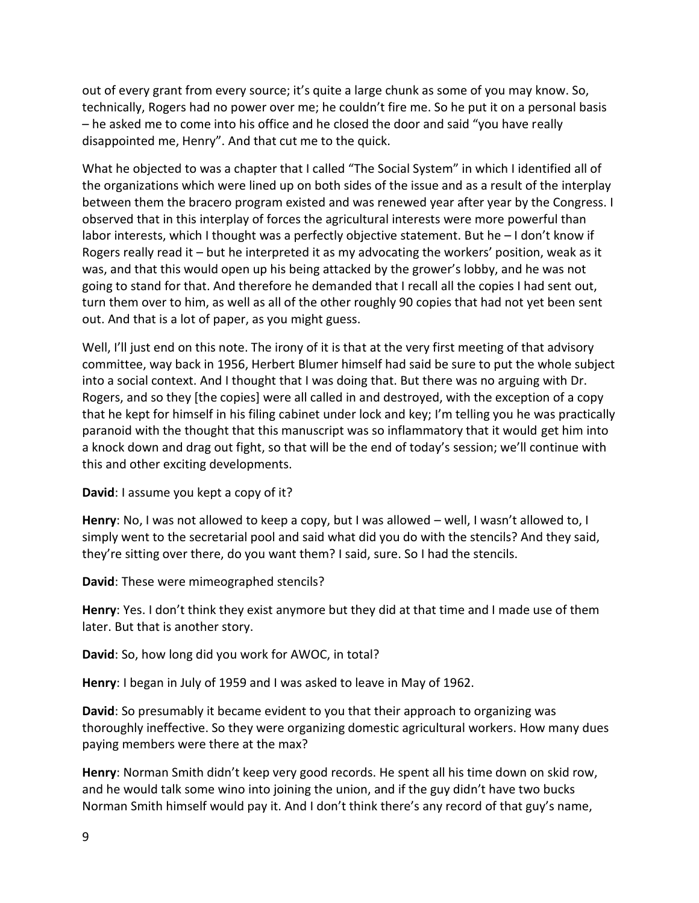out of every grant from every source; it's quite a large chunk as some of you may know. So, technically, Rogers had no power over me; he couldn't fire me. So he put it on a personal basis – he asked me to come into his office and he closed the door and said "you have really disappointed me, Henry". And that cut me to the quick.

What he objected to was a chapter that I called "The Social System" in which I identified all of the organizations which were lined up on both sides of the issue and as a result of the interplay between them the bracero program existed and was renewed year after year by the Congress. I observed that in this interplay of forces the agricultural interests were more powerful than labor interests, which I thought was a perfectly objective statement. But he – I don't know if Rogers really read it – but he interpreted it as my advocating the workers' position, weak as it was, and that this would open up his being attacked by the grower's lobby, and he was not going to stand for that. And therefore he demanded that I recall all the copies I had sent out, turn them over to him, as well as all of the other roughly 90 copies that had not yet been sent out. And that is a lot of paper, as you might guess.

Well, I'll just end on this note. The irony of it is that at the very first meeting of that advisory committee, way back in 1956, Herbert Blumer himself had said be sure to put the whole subject into a social context. And I thought that I was doing that. But there was no arguing with Dr. Rogers, and so they [the copies] were all called in and destroyed, with the exception of a copy that he kept for himself in his filing cabinet under lock and key; I'm telling you he was practically paranoid with the thought that this manuscript was so inflammatory that it would get him into a knock down and drag out fight, so that will be the end of today's session; we'll continue with this and other exciting developments.

**David**: I assume you kept a copy of it?

**Henry**: No, I was not allowed to keep a copy, but I was allowed – well, I wasn't allowed to, I simply went to the secretarial pool and said what did you do with the stencils? And they said, they're sitting over there, do you want them? I said, sure. So I had the stencils.

**David**: These were mimeographed stencils?

**Henry**: Yes. I don't think they exist anymore but they did at that time and I made use of them later. But that is another story.

**David**: So, how long did you work for AWOC, in total?

**Henry**: I began in July of 1959 and I was asked to leave in May of 1962.

**David**: So presumably it became evident to you that their approach to organizing was thoroughly ineffective. So they were organizing domestic agricultural workers. How many dues paying members were there at the max?

**Henry**: Norman Smith didn't keep very good records. He spent all his time down on skid row, and he would talk some wino into joining the union, and if the guy didn't have two bucks Norman Smith himself would pay it. And I don't think there's any record of that guy's name,